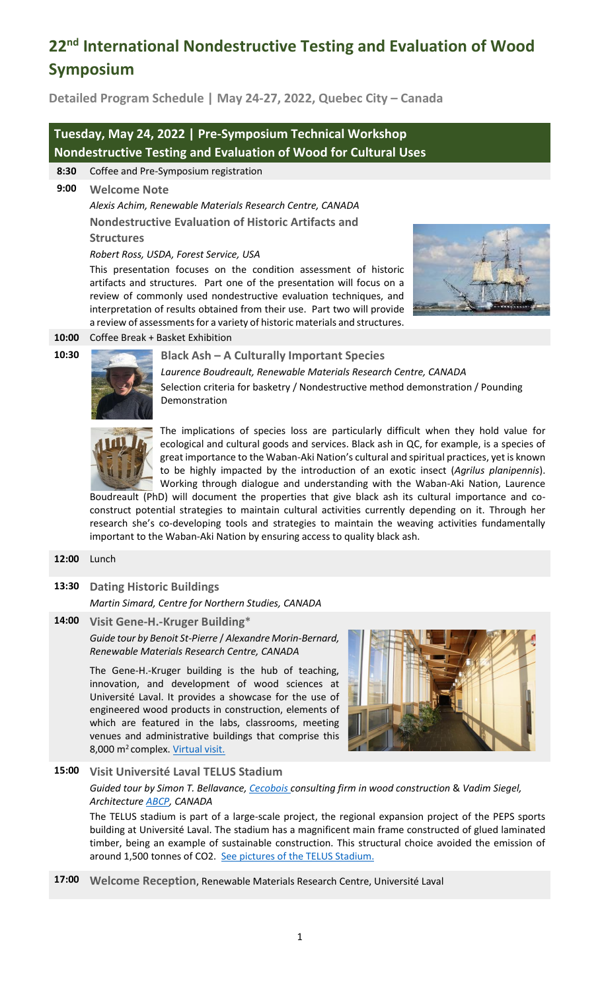# **22nd International Nondestructive Testing and Evaluation of Wood Symposium**

**Detailed Program Schedule | May 24-27, 2022, Quebec City – Canada** 

# **Tuesday, May 24, 2022 | Pre-Symposium Technical Workshop Nondestructive Testing and Evaluation of Wood for Cultural Uses**

**8:30** Coffee and Pre-Symposium registration

**9:00 Welcome Note**

*Alexis Achim, Renewable Materials Research Centre, CANADA* **Nondestructive Evaluation of Historic Artifacts and Structures**

#### *Robert Ross, USDA, Forest Service, USA*

This presentation focuses on the condition assessment of historic artifacts and structures. Part one of the presentation will focus on a review of commonly used nondestructive evaluation techniques, and interpretation of results obtained from their use. Part two will provide a review of assessments for a variety of historic materials and structures.



#### **10:00** Coffee Break + Basket Exhibition



### **10:30 Black Ash – A Culturally Important Species**

*Laurence Boudreault, Renewable Materials Research Centre, CANADA* Selection criteria for basketry / Nondestructive method demonstration / Pounding Demonstration



The implications of species loss are particularly difficult when they hold value for ecological and cultural goods and services. Black ash in QC, for example, is a species of great importance to the Waban-Aki Nation's cultural and spiritual practices, yet is known to be highly impacted by the introduction of an exotic insect (*Agrilus planipennis*). Working through dialogue and understanding with the Waban-Aki Nation, Laurence

Boudreault (PhD) will document the properties that give black ash its cultural importance and coconstruct potential strategies to maintain cultural activities currently depending on it. Through her research she's co-developing tools and strategies to maintain the weaving activities fundamentally important to the Waban-Aki Nation by ensuring access to quality black ash.

#### **12:00** Lunch

**13:30 Dating Historic Buildings** 

*Martin Simard, Centre for Northern Studies, CANADA*

**14:00 Visit Gene-H.-Kruger Building**\* *Guide tour by Benoit St-Pierre* / *Alexandre Morin-Bernard, Renewable Materials Research Centre, CANADA* 

> The Gene-H.-Kruger building is the hub of teaching, innovation, and development of wood sciences at Université Laval. It provides a showcase for the use of engineered wood products in construction, elements of which are featured in the labs, classrooms, meeting venues and administrative buildings that comprise this 8,000 m<sup>2</sup> complex[. Virtual visit.](http://www2.sbf.ulaval.ca/vv/GHK/VV-GHK.html)



# **15:00 Visit Université Laval TELUS Stadium**

*Guided tour by Simon T. Bellavance[, Cecobois](https://cecobois.com/) consulting firm in wood construction* & *Vadim Siegel, Architectur[e ABCP,](https://www.abcparchitecture.com/projets/architecture/stade-telus) CANADA*

The TELUS stadium is part of a large-scale project, the regional expansion project of the PEPS sports building at Université Laval. The stadium has a magnificent main frame constructed of glued laminated timber, being an example of sustainable construction. This structural choice avoided the emission of around 1,500 tonnes of CO2. [See pictures of the](https://projetsverts.voirvert.ca/projets/peps-stade-de-soccer-telus) TELUS Stadium.

**17:00 Welcome Reception**, Renewable Materials Research Centre, Université Laval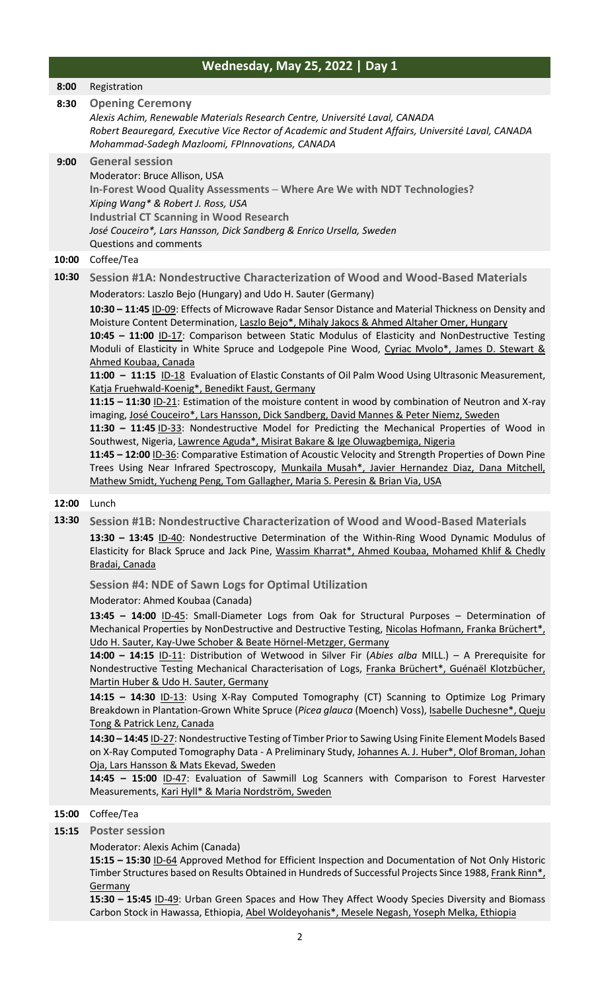|       | <b>Wednesday, May 25, 2022   Day 1</b>                                                                                                                                                                                                                                                                                                                                                                                                                                                                                                                                                                                                                                                                                                                                                                                                                                                                                                                                                                                                                                                                                                                                                                                                                                                                                                                                                                                         |
|-------|--------------------------------------------------------------------------------------------------------------------------------------------------------------------------------------------------------------------------------------------------------------------------------------------------------------------------------------------------------------------------------------------------------------------------------------------------------------------------------------------------------------------------------------------------------------------------------------------------------------------------------------------------------------------------------------------------------------------------------------------------------------------------------------------------------------------------------------------------------------------------------------------------------------------------------------------------------------------------------------------------------------------------------------------------------------------------------------------------------------------------------------------------------------------------------------------------------------------------------------------------------------------------------------------------------------------------------------------------------------------------------------------------------------------------------|
| 8:00  | Registration                                                                                                                                                                                                                                                                                                                                                                                                                                                                                                                                                                                                                                                                                                                                                                                                                                                                                                                                                                                                                                                                                                                                                                                                                                                                                                                                                                                                                   |
| 8:30  | <b>Opening Ceremony</b><br>Alexis Achim, Renewable Materials Research Centre, Université Laval, CANADA<br>Robert Beauregard, Executive Vice Rector of Academic and Student Affairs, Université Laval, CANADA<br>Mohammad-Sadegh Mazloomi, FPInnovations, CANADA                                                                                                                                                                                                                                                                                                                                                                                                                                                                                                                                                                                                                                                                                                                                                                                                                                                                                                                                                                                                                                                                                                                                                                |
| 9:00  | <b>General session</b><br>Moderator: Bruce Allison, USA<br>In-Forest Wood Quality Assessments - Where Are We with NDT Technologies?<br>Xiping Wang* & Robert J. Ross, USA<br><b>Industrial CT Scanning in Wood Research</b><br>José Couceiro*, Lars Hansson, Dick Sandberg & Enrico Ursella, Sweden<br>Questions and comments                                                                                                                                                                                                                                                                                                                                                                                                                                                                                                                                                                                                                                                                                                                                                                                                                                                                                                                                                                                                                                                                                                  |
| 10:00 | Coffee/Tea                                                                                                                                                                                                                                                                                                                                                                                                                                                                                                                                                                                                                                                                                                                                                                                                                                                                                                                                                                                                                                                                                                                                                                                                                                                                                                                                                                                                                     |
| 10:30 | Session #1A: Nondestructive Characterization of Wood and Wood-Based Materials<br>Moderators: Laszlo Bejo (Hungary) and Udo H. Sauter (Germany)<br>10:30 - 11:45 ID-09: Effects of Microwave Radar Sensor Distance and Material Thickness on Density and<br>Moisture Content Determination, Laszlo Bejo*, Mihaly Jakocs & Ahmed Altaher Omer, Hungary<br>10:45 - 11:00 ID-17: Comparison between Static Modulus of Elasticity and NonDestructive Testing<br>Moduli of Elasticity in White Spruce and Lodgepole Pine Wood, Cyriac Mvolo*, James D. Stewart &<br>Ahmed Koubaa, Canada<br>11:00 - 11:15 ID-18 Evaluation of Elastic Constants of Oil Palm Wood Using Ultrasonic Measurement,<br>Katja Fruehwald-Koenig*, Benedikt Faust, Germany<br>11:15 - 11:30 ID-21: Estimation of the moisture content in wood by combination of Neutron and X-ray<br>imaging, José Couceiro*, Lars Hansson, Dick Sandberg, David Mannes & Peter Niemz, Sweden<br>11:30 - 11:45 ID-33: Nondestructive Model for Predicting the Mechanical Properties of Wood in<br>Southwest, Nigeria, Lawrence Aguda*, Misirat Bakare & Ige Oluwagbemiga, Nigeria<br>11:45 - 12:00 ID-36: Comparative Estimation of Acoustic Velocity and Strength Properties of Down Pine<br>Trees Using Near Infrared Spectroscopy, Munkaila Musah*, Javier Hernandez Diaz, Dana Mitchell,<br>Mathew Smidt, Yucheng Peng, Tom Gallagher, Maria S. Peresin & Brian Via, USA |
| 12:00 | Lunch                                                                                                                                                                                                                                                                                                                                                                                                                                                                                                                                                                                                                                                                                                                                                                                                                                                                                                                                                                                                                                                                                                                                                                                                                                                                                                                                                                                                                          |
| 13:30 | Session #1B: Nondestructive Characterization of Wood and Wood-Based Materials<br>13:30 - 13:45 ID-40: Nondestructive Determination of the Within-Ring Wood Dynamic Modulus of<br>Elasticity for Black Spruce and Jack Pine, Wassim Kharrat*, Ahmed Koubaa, Mohamed Khlif & Chedly<br>Bradai, Canada                                                                                                                                                                                                                                                                                                                                                                                                                                                                                                                                                                                                                                                                                                                                                                                                                                                                                                                                                                                                                                                                                                                            |
|       | <b>Session #4: NDE of Sawn Logs for Optimal Utilization</b>                                                                                                                                                                                                                                                                                                                                                                                                                                                                                                                                                                                                                                                                                                                                                                                                                                                                                                                                                                                                                                                                                                                                                                                                                                                                                                                                                                    |
|       | Moderator: Ahmed Koubaa (Canada)<br>13:45 - 14:00 ID-45: Small-Diameter Logs from Oak for Structural Purposes - Determination of<br>Mechanical Properties by NonDestructive and Destructive Testing, Nicolas Hofmann, Franka Brüchert*,<br>Udo H. Sauter, Kay-Uwe Schober & Beate Hörnel-Metzger, Germany<br>14:00 - 14:15 ID-11: Distribution of Wetwood in Silver Fir (Abies alba MILL.) - A Prerequisite for<br>Nondestructive Testing Mechanical Characterisation of Logs, Franka Brüchert*, Guénaël Klotzbücher,<br>Martin Huber & Udo H. Sauter, Germany<br>14:15 - 14:30 ID-13: Using X-Ray Computed Tomography (CT) Scanning to Optimize Log Primary<br>Breakdown in Plantation-Grown White Spruce (Picea glauca (Moench) Voss), Isabelle Duchesne*, Queju                                                                                                                                                                                                                                                                                                                                                                                                                                                                                                                                                                                                                                                             |

**14:30 – 14:45** ID-27: Nondestructive Testing of Timber Prior to Sawing Using Finite Element Models Based on X-Ray Computed Tomography Data - A Preliminary Study, Johannes A. J. Huber\*, Olof Broman, Johan Oja, Lars Hansson & Mats Ekevad, Sweden

**14:45 – 15:00** ID-47: Evaluation of Sawmill Log Scanners with Comparison to Forest Harvester Measurements, Kari Hyll\* & Maria Nordström, Sweden

# **15:00** Coffee/Tea

# **15:15 Poster session**

#### Moderator: Alexis Achim (Canada)

**15:15 – 15:30** ID-64 Approved Method for Efficient Inspection and Documentation of Not Only Historic Timber Structures based on Results Obtained in Hundreds of Successful Projects Since 1988, Frank Rinn\*, **Germany** 

**15:30 – 15:45** ID-49: Urban Green Spaces and How They Affect Woody Species Diversity and Biomass Carbon Stock in Hawassa, Ethiopia, Abel Woldeyohanis\*, Mesele Negash, Yoseph Melka, Ethiopia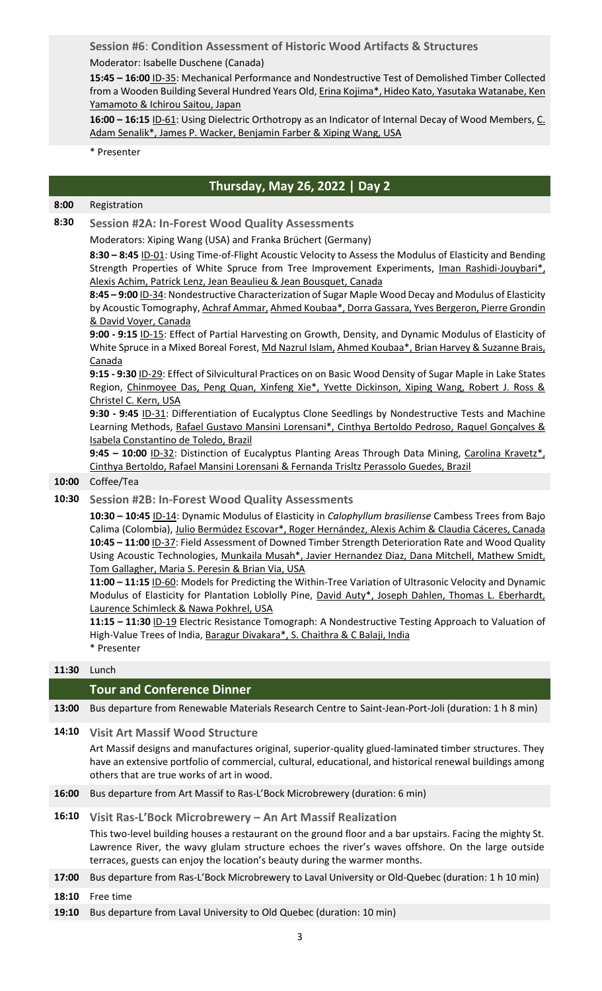**Session #6**: **Condition Assessment of Historic Wood Artifacts & Structures** Moderator: Isabelle Duschene (Canada)

**15:45 – 16:00** ID-35: Mechanical Performance and Nondestructive Test of Demolished Timber Collected from a Wooden Building Several Hundred Years Old, Erina Kojima\*, Hideo Kato, Yasutaka Watanabe, Ken Yamamoto & Ichirou Saitou, Japan

**16:00 – 16:15** ID-61: Using Dielectric Orthotropy as an Indicator of Internal Decay of Wood Members, C. Adam Senalik\*, James P. Wacker, Benjamin Farber & Xiping Wang, USA

#### \* Presenter

# **Thursday, May 26, 2022 | Day 2**

# **8:00** Registration

**8:30 Session #2A: In-Forest Wood Quality Assessments**

Moderators: Xiping Wang (USA) and Franka Brüchert (Germany)

**8:30 – 8:45** ID-01: Using Time-of-Flight Acoustic Velocity to Assess the Modulus of Elasticity and Bending Strength Properties of White Spruce from Tree Improvement Experiments, Iman Rashidi-Jouybari\*, Alexis Achim, Patrick Lenz, Jean Beaulieu & Jean Bousquet, Canada

**8:45 – 9:00** ID-34: Nondestructive Characterization of Sugar Maple Wood Decay and Modulus of Elasticity by Acoustic Tomography, Achraf Ammar, Ahmed Koubaa\*, Dorra Gassara, Yves Bergeron, Pierre Grondin & David Voyer, Canada

**9:00 - 9:15** ID-15: Effect of Partial Harvesting on Growth, Density, and Dynamic Modulus of Elasticity of White Spruce in a Mixed Boreal Forest, Md Nazrul Islam, Ahmed Koubaa\*, Brian Harvey & Suzanne Brais, Canada

**9:15 - 9:30** ID-29: Effect of Silvicultural Practices on on Basic Wood Density of Sugar Maple in Lake States Region, Chinmoyee Das, Peng Quan, Xinfeng Xie\*, Yvette Dickinson, Xiping Wang, Robert J. Ross & Christel C. Kern, USA

**9:30 - 9:45** ID-31: Differentiation of Eucalyptus Clone Seedlings by Nondestructive Tests and Machine Learning Methods, Rafael Gustavo Mansini Lorensani\*, Cinthya Bertoldo Pedroso, Raquel Gonçalves & Isabela Constantino de Toledo, Brazil

**9:45 – 10:00** ID-32: Distinction of Eucalyptus Planting Areas Through Data Mining, Carolina Kravetz\*, Cinthya Bertoldo, Rafael Mansini Lorensani & Fernanda Trisltz Perassolo Guedes, Brazil

#### **10:00** Coffee/Tea

# **10:30 Session #2B: In-Forest Wood Quality Assessments**

**10:30 – 10:45** ID-14: Dynamic Modulus of Elasticity in *Calophyllum brasiliense* Cambess Trees from Bajo Calima (Colombia), Julio Bermúdez Escovar\*, Roger Hernández, Alexis Achim & Claudia Cáceres, Canada **10:45 – 11:00** ID-37: Field Assessment of Downed Timber Strength Deterioration Rate and Wood Quality Using Acoustic Technologies, Munkaila Musah\*, Javier Hernandez Diaz, Dana Mitchell, Mathew Smidt, Tom Gallagher, Maria S. Peresin & Brian Via, USA

**11:00 – 11:15** ID-60: Models for Predicting the Within-Tree Variation of Ultrasonic Velocity and Dynamic Modulus of Elasticity for Plantation Loblolly Pine, David Auty\*, Joseph Dahlen, Thomas L. Eberhardt, Laurence Schimleck & Nawa Pokhrel, USA

**11:15 – 11:30** ID-19 Electric Resistance Tomograph: A Nondestructive Testing Approach to Valuation of High-Value Trees of India, Baragur Divakara\*, S. Chaithra & C Balaji, India \* Presenter

#### **11:30** Lunch

### **Tour and Conference Dinner**

**13:00** Bus departure from Renewable Materials Research Centre to Saint-Jean-Port-Joli (duration: 1 h 8 min)

**14:10 Visit Art Massif Wood Structure**

Art Massif designs and manufactures original, superior-quality glued-laminated timber structures. They have an extensive portfolio of commercial, cultural, educational, and historical renewal buildings among others that are true works of art in wood.

**16:00** Bus departure from Art Massif to Ras-L'Bock Microbrewery (duration: 6 min)

# **16:10 Visit Ras-L'Bock Microbrewery – An Art Massif Realization**

This two-level building houses a restaurant on the ground floor and a bar upstairs. Facing the mighty St. Lawrence River, the wavy glulam structure echoes the river's waves offshore. On the large outside terraces, guests can enjoy the location's beauty during the warmer months.

- **17:00** Bus departure from Ras-L'Bock Microbrewery to Laval University or Old-Quebec (duration: 1 h 10 min)
- **18:10** Free time
- **19:10** Bus departure from Laval University to Old Quebec (duration: 10 min)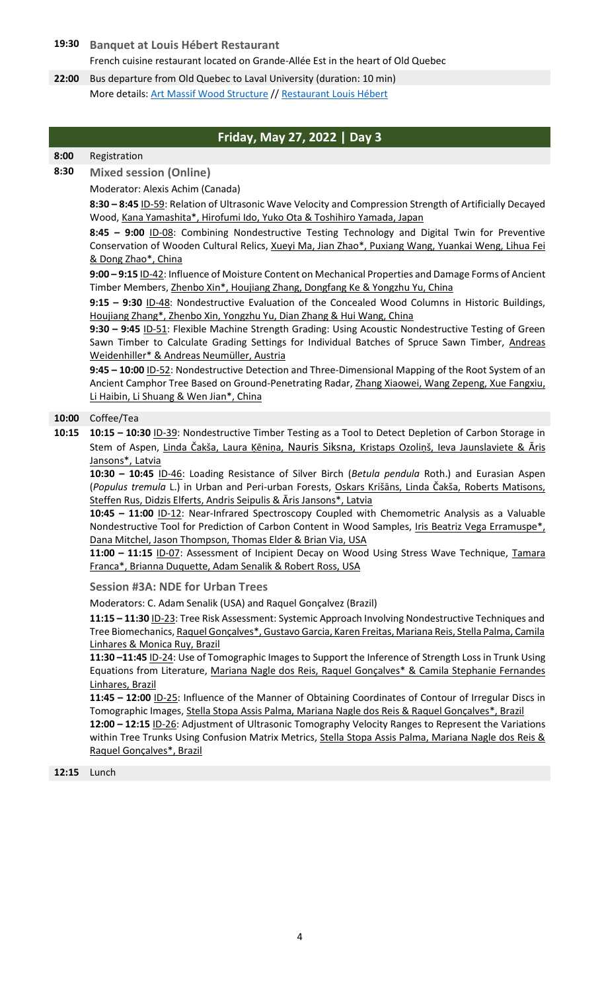**19:30 Banquet at Louis Hébert Restaurant** French cuisine restaurant located on Grande-Allée Est in the heart of Old Quebec

**22:00** Bus departure from Old Quebec to Laval University (duration: 10 min) More details: [Art Massif Wood Structure](https://www.artmassif.ca/) // [Restaurant Louis Hébert](https://www.louishebert.com/)

# **Friday, May 27, 2022 | Day 3**

## **8:00** Registration

**8:30 Mixed session (Online)**

Moderator: Alexis Achim (Canada)

**8:30 – 8:45** ID-59: Relation of Ultrasonic Wave Velocity and Compression Strength of Artificially Decayed Wood, Kana Yamashita\*, Hirofumi Ido, Yuko Ota & Toshihiro Yamada, Japan

**8:45 – 9:00** ID-08: Combining Nondestructive Testing Technology and Digital Twin for Preventive Conservation of Wooden Cultural Relics, Xueyi Ma, Jian Zhao\*, Puxiang Wang, Yuankai Weng, Lihua Fei & Dong Zhao\*, China

**9:00 – 9:15** ID-42: Influence of Moisture Content on Mechanical Properties and Damage Forms of Ancient Timber Members, Zhenbo Xin\*, Houjiang Zhang, Dongfang Ke & Yongzhu Yu, China

**9:15 – 9:30** ID-48: Nondestructive Evaluation of the Concealed Wood Columns in Historic Buildings, Houjiang Zhang\*, Zhenbo Xin, Yongzhu Yu, Dian Zhang & Hui Wang, China

**9:30 – 9:45** ID-51: Flexible Machine Strength Grading: Using Acoustic Nondestructive Testing of Green Sawn Timber to Calculate Grading Settings for Individual Batches of Spruce Sawn Timber, Andreas Weidenhiller\* & Andreas Neumüller, Austria

**9:45 – 10:00** ID-52: Nondestructive Detection and Three-Dimensional Mapping of the Root System of an Ancient Camphor Tree Based on Ground-Penetrating Radar, Zhang Xiaowei, Wang Zepeng, Xue Fangxiu, Li Haibin, Li Shuang & Wen Jian\*, China

#### **10:00** Coffee/Tea

**10:15 10:15 – 10:30** ID-39: Nondestructive Timber Testing as a Tool to Detect Depletion of Carbon Storage in Stem of Aspen, Linda Čakša, Laura Ķēniņa, Nauris Siksna, Kristaps Ozoliņš, Ieva Jaunslaviete & Āris Jansons\*, Latvia

**10:30 – 10:45** ID-46: Loading Resistance of Silver Birch (*Betula pendula* Roth.) and Eurasian Aspen (*Populus tremula* L.) in Urban and Peri-urban Forests, Oskars Krišāns, Linda Čakša, Roberts Matisons, Steffen Rus, Didzis Elferts, Andris Seipulis & Āris Jansons\*, Latvia

**10:45 – 11:00** ID-12: Near-Infrared Spectroscopy Coupled with Chemometric Analysis as a Valuable Nondestructive Tool for Prediction of Carbon Content in Wood Samples, Iris Beatriz Vega Erramuspe\*, Dana Mitchel, Jason Thompson, Thomas Elder & Brian Via, USA

**11:00 – 11:15** ID-07: Assessment of Incipient Decay on Wood Using Stress Wave Technique, Tamara Franca\*, Brianna Duquette, Adam Senalik & Robert Ross, USA

**Session #3A: NDE for Urban Trees**

Moderators: C. Adam Senalik (USA) and Raquel Gonçalvez (Brazil)

**11:15 – 11:30** ID-23: Tree Risk Assessment: Systemic Approach Involving Nondestructive Techniques and Tree Biomechanics, Raquel Gonçalves\*, Gustavo Garcia, Karen Freitas, Mariana Reis, Stella Palma, Camila Linhares & Monica Ruy, Brazil

**11:30 –11:45** ID-24: Use of Tomographic Images to Support the Inference of Strength Loss in Trunk Using Equations from Literature, Mariana Nagle dos Reis, Raquel Gonçalves\* & Camila Stephanie Fernandes Linhares, Brazil

**11:45 – 12:00** ID-25: Influence of the Manner of Obtaining Coordinates of Contour of Irregular Discs in Tomographic Images, Stella Stopa Assis Palma, Mariana Nagle dos Reis & Raquel Gonçalves\*, Brazil

**12:00 – 12:15** ID-26: Adjustment of Ultrasonic Tomography Velocity Ranges to Represent the Variations within Tree Trunks Using Confusion Matrix Metrics, Stella Stopa Assis Palma, Mariana Nagle dos Reis & Raquel Gonçalves\*, Brazil

#### **12:15** Lunch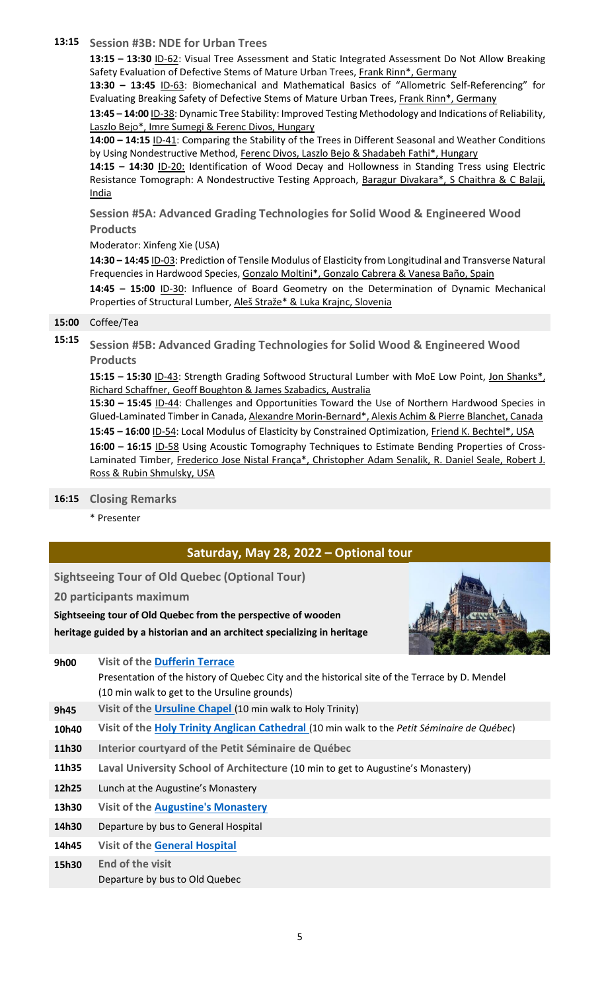### **13:15 Session #3B: NDE for Urban Trees**

**13:15 – 13:30** ID-62: Visual Tree Assessment and Static Integrated Assessment Do Not Allow Breaking Safety Evaluation of Defective Stems of Mature Urban Trees, Frank Rinn\*, Germany

**13:30 – 13:45** ID-63: Biomechanical and Mathematical Basics of "Allometric Self-Referencing" for Evaluating Breaking Safety of Defective Stems of Mature Urban Trees, Frank Rinn\*, Germany

**13:45 – 14:00** ID-38: Dynamic Tree Stability: Improved Testing Methodology and Indications of Reliability, Laszlo Bejo\*, Imre Sumegi & Ferenc Divos, Hungary

**14:00 – 14:15** ID-41: Comparing the Stability of the Trees in Different Seasonal and Weather Conditions by Using Nondestructive Method, Ferenc Divos, Laszlo Bejo & Shadabeh Fathi\*, Hungary

**14:15 – 14:30** ID-20: Identification of Wood Decay and Hollowness in Standing Tress using Electric Resistance Tomograph: A Nondestructive Testing Approach, Baragur Divakara\*, S Chaithra & C Balaji, India

**Session #5A: Advanced Grading Technologies for Solid Wood & Engineered Wood Products**

## Moderator: Xinfeng Xie (USA)

**14:30 – 14:45** ID-03: Prediction of Tensile Modulus of Elasticity from Longitudinal and Transverse Natural Frequencies in Hardwood Species, Gonzalo Moltini\*, Gonzalo Cabrera & Vanesa Baño, Spain

**14:45 – 15:00** ID-30: Influence of Board Geometry on the Determination of Dynamic Mechanical Properties of Structural Lumber, Aleš Straže\* & Luka Krajnc, Slovenia

#### **15:00** Coffee/Tea

**15:15 Session #5B: Advanced Grading Technologies for Solid Wood & Engineered Wood Products**

**15:15 – 15:30** ID-43: Strength Grading Softwood Structural Lumber with MoE Low Point, Jon Shanks\*, Richard Schaffner, Geoff Boughton & James Szabadics, Australia

**15:30 – 15:45** ID-44: Challenges and Opportunities Toward the Use of Northern Hardwood Species in Glued-Laminated Timber in Canada, Alexandre Morin-Bernard\*, Alexis Achim & Pierre Blanchet, Canada **15:45 – 16:00** ID-54: Local Modulus of Elasticity by Constrained Optimization, Friend K. Bechtel\*, USA **16:00 – 16:15** ID-58 Using Acoustic Tomography Techniques to Estimate Bending Properties of Cross-Laminated Timber, Frederico Jose Nistal França\*, Christopher Adam Senalik, R. Daniel Seale, Robert J. Ross & Rubin Shmulsky, USA

#### **16:15 Closing Remarks**

\* Presenter

# **Saturday, May 28, 2022 – Optional tour**

**Sightseeing Tour of Old Quebec (Optional Tour)**

**20 participants maximum**

**Sightseeing tour of Old Quebec from the perspective of wooden heritage guided by a historian and an architect specializing in heritage**



| 9h00  | <b>Visit of the Dufferin Terrace</b>                                                           |
|-------|------------------------------------------------------------------------------------------------|
|       | Presentation of the history of Quebec City and the historical site of the Terrace by D. Mendel |
|       | (10 min walk to get to the Ursuline grounds)                                                   |
| 9h45  | Visit of the Ursuline Chapel (10 min walk to Holy Trinity)                                     |
| 10h40 | Visit of the Holy Trinity Anglican Cathedral (10 min walk to the Petit Séminaire de Québec)    |
| 11h30 | Interior courtyard of the Petit Séminaire de Québec                                            |
| 11h35 | Laval University School of Architecture (10 min to get to Augustine's Monastery)               |
| 12h25 | Lunch at the Augustine's Monastery                                                             |
| 13h30 | <b>Visit of the Augustine's Monastery</b>                                                      |
| 14h30 | Departure by bus to General Hospital                                                           |
| 14h45 | <b>Visit of the General Hospital</b>                                                           |
| 15h30 | <b>End of the visit</b>                                                                        |
|       | Departure by bus to Old Quebec                                                                 |